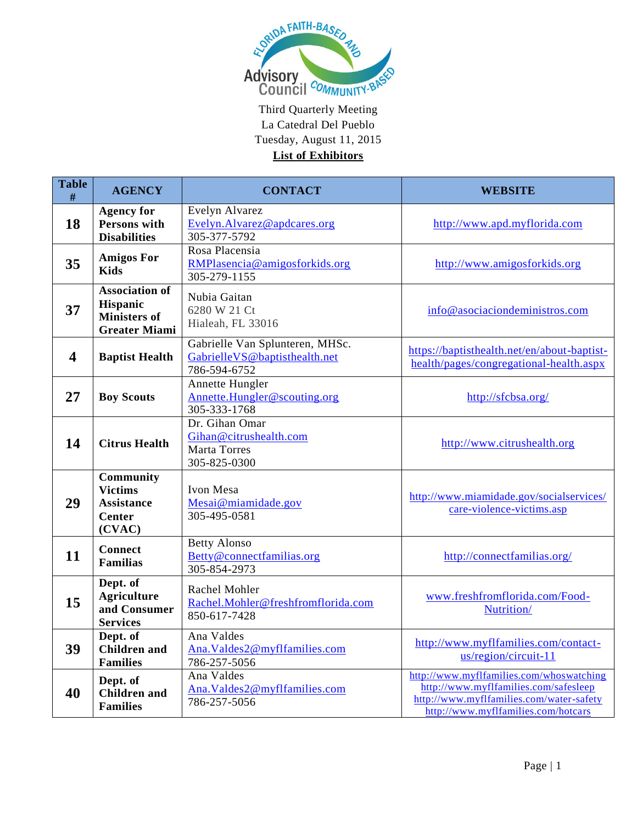

| <b>Table</b><br>$\#$    | <b>AGENCY</b>                                                                    | <b>CONTACT</b>                                                                   | <b>WEBSITE</b>                                                                                                                                                       |
|-------------------------|----------------------------------------------------------------------------------|----------------------------------------------------------------------------------|----------------------------------------------------------------------------------------------------------------------------------------------------------------------|
| 18                      | <b>Agency for</b><br>Persons with<br><b>Disabilities</b>                         | Evelyn Alvarez<br>Evelyn.Alvarez@apdcares.org<br>305-377-5792                    | http://www.apd.myflorida.com                                                                                                                                         |
| 35                      | <b>Amigos For</b><br><b>Kids</b>                                                 | Rosa Placensia<br>RMPlasencia@amigosforkids.org<br>305-279-1155                  | http://www.amigosforkids.org                                                                                                                                         |
| 37                      | <b>Association of</b><br>Hispanic<br><b>Ministers of</b><br><b>Greater Miami</b> | Nubia Gaitan<br>6280 W 21 Ct<br>Hialeah, FL 33016                                | info@asociaciondeministros.com                                                                                                                                       |
| $\overline{\mathbf{4}}$ | <b>Baptist Health</b>                                                            | Gabrielle Van Splunteren, MHSc.<br>GabrielleVS@baptisthealth.net<br>786-594-6752 | https://baptisthealth.net/en/about-baptist-<br>health/pages/congregational-health.aspx                                                                               |
| 27                      | <b>Boy Scouts</b>                                                                | Annette Hungler<br>Annette.Hungler@scouting.org<br>305-333-1768                  | http://sfcbsa.org/                                                                                                                                                   |
| 14                      | <b>Citrus Health</b>                                                             | Dr. Gihan Omar<br>Gihan@citrushealth.com<br><b>Marta Torres</b><br>305-825-0300  | http://www.citrushealth.org                                                                                                                                          |
| 29                      | Community<br><b>Victims</b><br><b>Assistance</b><br><b>Center</b><br>(CVAC)      | Ivon Mesa<br>Mesai@miamidade.gov<br>305-495-0581                                 | http://www.miamidade.gov/socialservices/<br>care-violence-victims.asp                                                                                                |
| 11                      | <b>Connect</b><br><b>Familias</b>                                                | <b>Betty Alonso</b><br>Betty@connectfamilias.org<br>305-854-2973                 | http://connectfamilias.org/                                                                                                                                          |
| 15                      | Dept. of<br><b>Agriculture</b><br>and Consumer<br><b>Services</b>                | Rachel Mohler<br>Rachel.Mohler@freshfromflorida.com<br>850-617-7428              | www.freshfromflorida.com/Food-<br>Nutrition/                                                                                                                         |
| 39                      | Dept. of<br><b>Children</b> and<br><b>Families</b>                               | Ana Valdes<br>Ana.Valdes2@myflfamilies.com<br>786-257-5056                       | http://www.myflfamilies.com/contact-<br>us/region/circuit-11                                                                                                         |
| 40                      | Dept. of<br><b>Children</b> and<br><b>Families</b>                               | Ana Valdes<br>Ana.Valdes2@myflfamilies.com<br>786-257-5056                       | http://www.myflfamilies.com/whoswatching<br>http://www.myflfamilies.com/safesleep<br>http://www.myflfamilies.com/water-safety<br>http://www.myflfamilies.com/hotcars |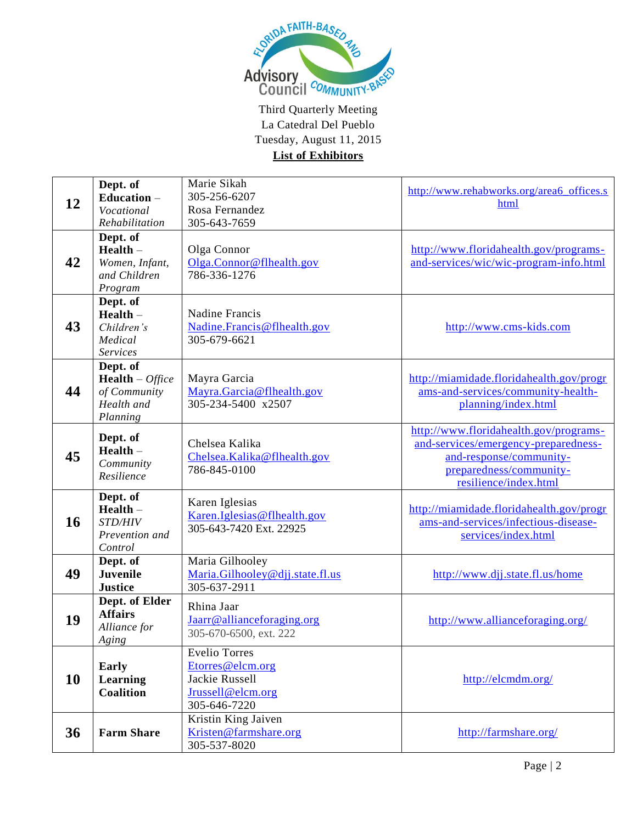

| 12 | Dept. of<br>Education $-$<br>Vocational<br>Rehabilitation                           | Marie Sikah<br>305-256-6207<br>Rosa Fernandez<br>305-643-7659                                   | http://www.rehabworks.org/area6_offices.s<br>html                                                                                                             |
|----|-------------------------------------------------------------------------------------|-------------------------------------------------------------------------------------------------|---------------------------------------------------------------------------------------------------------------------------------------------------------------|
| 42 | Dept. of<br>$Health -$<br>Women, Infant,<br>and Children<br>Program                 | Olga Connor<br>Olga.Connor@flhealth.gov<br>786-336-1276                                         | http://www.floridahealth.gov/programs-<br>and-services/wic/wic-program-info.html                                                                              |
| 43 | Dept. of<br>$Health -$<br>Children's<br>Medical<br><b>Services</b>                  | Nadine Francis<br>Nadine.Francis@flhealth.gov<br>305-679-6621                                   | http://www.cms-kids.com                                                                                                                                       |
| 44 | Dept. of<br><b>Health</b> – <i>Office</i><br>of Community<br>Health and<br>Planning | Mayra Garcia<br>Mayra.Garcia@flhealth.gov<br>305-234-5400 x2507                                 | http://miamidade.floridahealth.gov/progr<br>ams-and-services/community-health-<br>planning/index.html                                                         |
| 45 | Dept. of<br>$Health -$<br>Community<br>Resilience                                   | Chelsea Kalika<br>Chelsea.Kalika@flhealth.gov<br>786-845-0100                                   | http://www.floridahealth.gov/programs-<br>and-services/emergency-preparedness-<br>and-response/community-<br>preparedness/community-<br>resilience/index.html |
| 16 | Dept. of<br>$Health -$<br>STD/HIV<br>Prevention and<br>Control                      | Karen Iglesias<br>Karen. Iglesias@flhealth.gov<br>305-643-7420 Ext. 22925                       | http://miamidade.floridahealth.gov/progr<br>ams-and-services/infectious-disease-<br>services/index.html                                                       |
| 49 | Dept. of<br><b>Juvenile</b><br><b>Justice</b>                                       | Maria Gilhooley<br>Maria.Gilhooley@djj.state.fl.us<br>305-637-2911                              | http://www.djj.state.fl.us/home                                                                                                                               |
| 19 | Dept. of Elder<br><b>Affairs</b><br>Alliance for<br>Aging                           | Rhina Jaar<br>Jaarr@allianceforaging.org<br>305-670-6500, ext. 222                              | http://www.allianceforaging.org/                                                                                                                              |
| 10 | Early<br>Learning<br><b>Coalition</b>                                               | <b>Evelio Torres</b><br>Etorres@elcm.org<br>Jackie Russell<br>Jrussell@elcm.org<br>305-646-7220 | http://elcmdm.org/                                                                                                                                            |
| 36 | <b>Farm Share</b>                                                                   | Kristin King Jaiven<br>Kristen@farmshare.org<br>305-537-8020                                    | http://farmshare.org/                                                                                                                                         |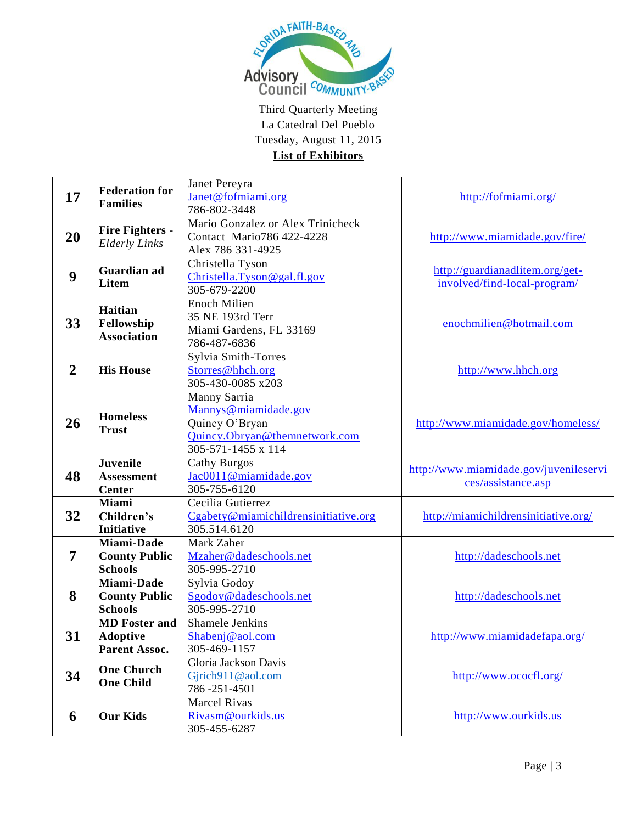

| 17             | <b>Federation for</b>           | Janet Pereyra                        |                                        |
|----------------|---------------------------------|--------------------------------------|----------------------------------------|
|                |                                 | Janet@fofmiami.org                   | http://fofmiami.org/                   |
|                | <b>Families</b>                 | 786-802-3448                         |                                        |
|                |                                 | Mario Gonzalez or Alex Trinicheck    |                                        |
| 20             | <b>Fire Fighters -</b>          | Contact Mario786 422-4228            | http://www.miamidade.gov/fire/         |
|                | <b>Elderly Links</b>            | Alex 786 331-4925                    |                                        |
|                | Guardian ad<br><b>Litem</b>     | Christella Tyson                     |                                        |
| 9              |                                 | Christella.Tyson@gal.fl.gov          | http://guardianadlitem.org/get-        |
|                |                                 | 305-679-2200                         | involved/find-local-program/           |
|                |                                 | <b>Enoch Milien</b>                  |                                        |
|                | Haitian                         | 35 NE 193rd Terr                     |                                        |
| 33             | Fellowship                      | Miami Gardens, FL 33169              | enochmilien@hotmail.com                |
|                | <b>Association</b>              | 786-487-6836                         |                                        |
|                |                                 | Sylvia Smith-Torres                  |                                        |
| $\overline{2}$ | <b>His House</b>                | Storres@hhch.org                     | http://www.hhch.org                    |
|                |                                 | 305-430-0085 x203                    |                                        |
|                |                                 | Manny Sarria                         |                                        |
|                |                                 | Mannys@miamidade.gov                 |                                        |
| 26             | <b>Homeless</b><br><b>Trust</b> | Quincy O'Bryan                       | http://www.miamidade.gov/homeless/     |
|                |                                 | Quincy.Obryan@themnetwork.com        |                                        |
|                |                                 | 305-571-1455 x 114                   |                                        |
|                | Juvenile                        | <b>Cathy Burgos</b>                  |                                        |
| 48             | <b>Assessment</b>               | Jac0011@miamidade.gov                | http://www.miamidade.gov/juvenileservi |
|                | Center                          | 305-755-6120                         | ces/assistance.asp                     |
|                | <b>Miami</b>                    | Cecilia Gutierrez                    |                                        |
| 32             | Children's                      | Cgabety@miamichildrensinitiative.org | http://miamichildrensinitiative.org/   |
|                | <b>Initiative</b>               | 305.514.6120                         |                                        |
|                | Miami-Dade                      | Mark Zaher                           |                                        |
| 7              | <b>County Public</b>            | Mzaher@dadeschools.net               | http://dadeschools.net                 |
|                | <b>Schools</b>                  | 305-995-2710                         |                                        |
|                | Miami-Dade                      | Sylvia Godoy                         |                                        |
| 8              | <b>County Public</b>            | Sgodoy@dadeschools.net               | http://dadeschools.net                 |
|                | <b>Schools</b>                  | 305-995-2710                         |                                        |
|                | <b>MD</b> Foster and            | Shamele Jenkins                      |                                        |
| 31             | <b>Adoptive</b>                 | Shabenj@aol.com                      | http://www.miamidadefapa.org/          |
|                | Parent Assoc.                   | 305-469-1157                         |                                        |
|                | <b>One Church</b>               | Gloria Jackson Davis                 |                                        |
| 34             | <b>One Child</b>                | Gjrich911@aol.com                    | http://www.ococfl.org/                 |
|                |                                 | 786 - 251 - 4501                     |                                        |
| 6              | <b>Our Kids</b>                 | <b>Marcel Rivas</b>                  |                                        |
|                |                                 | Rivasm@ourkids.us                    | http://www.ourkids.us                  |
|                |                                 |                                      |                                        |